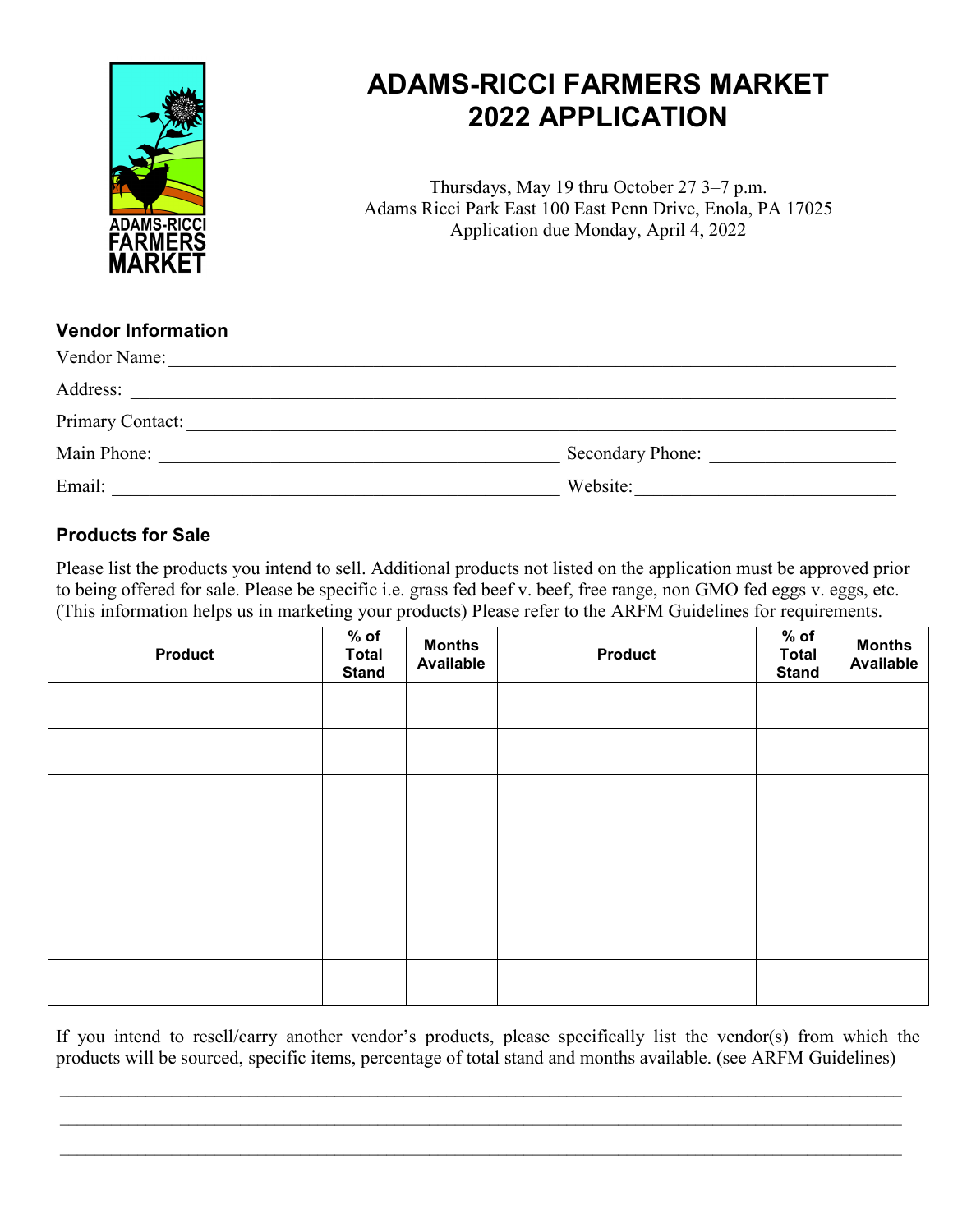

# **ADAMS-RICCI FARMERS MARKET 2022 APPLICATION**

Thursdays, May 19 thru October 27 3–7 p.m. Adams Ricci Park East 100 East Penn Drive, Enola, PA 17025 Application due Monday, April 4, 2022

| <b>Vendor Information</b> |                  |
|---------------------------|------------------|
| Vendor Name:              |                  |
|                           |                  |
| Primary Contact:          |                  |
| Main Phone:               | Secondary Phone: |
| Email:                    | Website:         |

# **Products for Sale**

Please list the products you intend to sell. Additional products not listed on the application must be approved prior to being offered for sale. Please be specific i.e. grass fed beef v. beef, free range, non GMO fed eggs v. eggs, etc. (This information helps us in marketing your products) Please refer to the ARFM Guidelines for requirements.

| <b>Product</b> | $%$ of<br><b>Total</b><br><b>Stand</b> | <b>Months</b><br>Available | <b>Product</b> | $%$ of<br><b>Total</b><br><b>Stand</b> | <b>Months</b><br><b>Available</b> |
|----------------|----------------------------------------|----------------------------|----------------|----------------------------------------|-----------------------------------|
|                |                                        |                            |                |                                        |                                   |
|                |                                        |                            |                |                                        |                                   |
|                |                                        |                            |                |                                        |                                   |
|                |                                        |                            |                |                                        |                                   |
|                |                                        |                            |                |                                        |                                   |
|                |                                        |                            |                |                                        |                                   |
|                |                                        |                            |                |                                        |                                   |

If you intend to resell/carry another vendor's products, please specifically list the vendor(s) from which the products will be sourced, specific items, percentage of total stand and months available. (see ARFM Guidelines)

 \_\_\_\_\_\_\_\_\_\_\_\_\_\_\_\_\_\_\_\_\_\_\_\_\_\_\_\_\_\_\_\_\_\_\_\_\_\_\_\_\_\_\_\_\_\_\_\_\_\_\_\_\_\_\_\_\_\_\_\_\_\_\_\_\_\_\_\_\_\_\_\_\_\_\_\_\_\_\_\_\_\_\_\_\_\_\_\_\_\_\_\_\_\_\_\_\_\_ \_\_\_\_\_\_\_\_\_\_\_\_\_\_\_\_\_\_\_\_\_\_\_\_\_\_\_\_\_\_\_\_\_\_\_\_\_\_\_\_\_\_\_\_\_\_\_\_\_\_\_\_\_\_\_\_\_\_\_\_\_\_\_\_\_\_\_\_\_\_\_\_\_\_\_\_\_\_\_\_\_\_\_\_\_\_\_\_\_\_\_\_\_\_\_\_\_\_  $\_$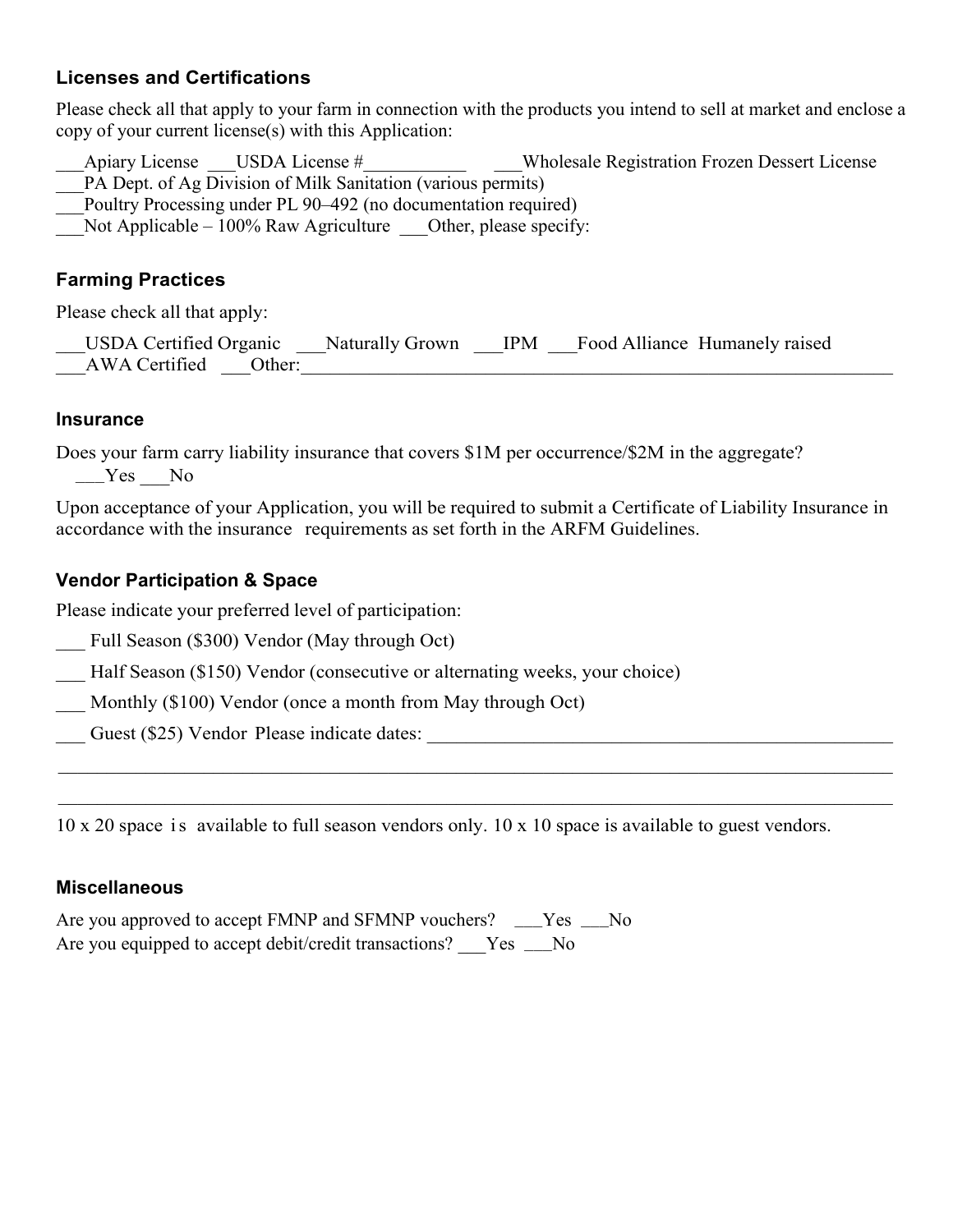# **Licenses and Certifications**

Please check all that apply to your farm in connection with the products you intend to sell at market and enclose a copy of your current license(s) with this Application:

Apiary License USDA License # Wholesale Registration Frozen Dessert License

\_\_\_PA Dept. of Ag Division of Milk Sanitation (various permits)

Poultry Processing under PL 90–492 (no documentation required)

Not Applicable – 100% Raw Agriculture Other, please specify:

## **Farming Practices**

Please check all that apply:

USDA Certified Organic Naturally Grown \_\_\_IPM \_\_\_Food Alliance Humanely raised AWA Certified \_\_\_\_Other:

#### **Insurance**

Does your farm carry liability insurance that covers \$1M per occurrence/\$2M in the aggregate?  $Yes$  No

Upon acceptance of your Application, you will be required to submit a Certificate of Liability Insurance in accordance with the insurance requirements as set forth in the ARFM Guidelines.

### **Vendor Participation & Space**

Please indicate your preferred level of participation:

Full Season (\$300) Vendor (May through Oct)

\_\_\_ Half Season (\$150) Vendor (consecutive or alternating weeks, your choice)

Monthly (\$100) Vendor (once a month from May through Oct)

\_\_\_ Guest (\$25) Vendor Please indicate dates: \_\_\_\_\_\_\_\_\_\_\_\_\_\_\_\_\_\_\_\_\_\_\_\_\_\_\_\_\_\_\_\_\_\_\_\_\_\_\_\_\_\_\_\_\_\_\_\_

10 x 20 space is available to full season vendors only. 10 x 10 space is available to guest vendors.

 $\_$  , and the contribution of the contribution of the contribution of the contribution of the contribution of  $\mathcal{L}_i$ \_\_\_\_\_\_\_\_\_\_\_\_\_\_\_\_\_\_\_\_\_\_\_\_\_\_\_\_\_\_\_\_\_\_\_\_\_\_\_\_\_\_\_\_\_\_\_\_\_\_\_\_\_\_\_\_\_\_\_\_\_\_\_\_\_\_\_\_\_\_\_\_\_\_\_\_\_\_\_\_\_\_\_\_\_\_

#### **Miscellaneous**

Are you approved to accept FMNP and SFMNP vouchers? \_\_Yes \_\_No Are you equipped to accept debit/credit transactions? Yes No